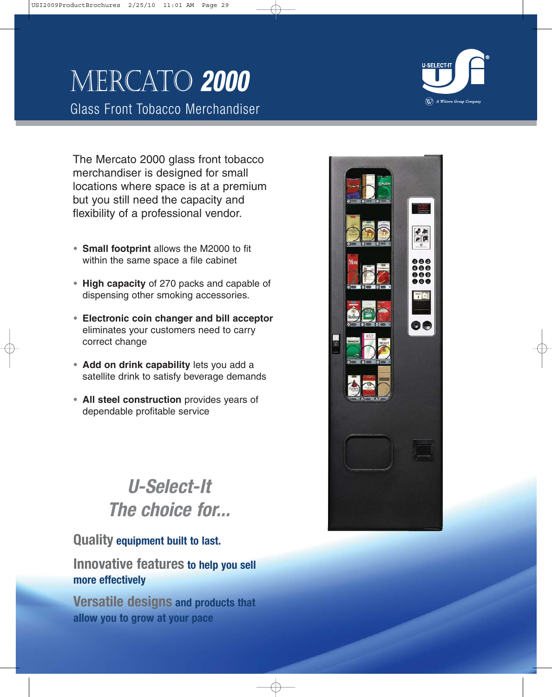# Mercato **2000**

Glass Front Tobacco Merchandiser

The Mercato 2000 glass front tobacco merchandiser is designed for small

locations where space is at a premium but you still need the capacity and flexibility of a professional vendor.

- **• Small footprint** allows the M2000 to fit within the same space a file cabinet
- **• High capacity** of 270 packs and capable of dispensing other smoking accessories.
- **• Electronic coin changer and bill acceptor** eliminates your customers need to carry correct change
- **• Add on drink capability** lets you add a satellite drink to satisfy beverage demands
- **• All steel construction** provides years of dependable profitable service

# **U-Select-It The choice for...**

## **Quality equipment built to last.**

**Innovative features to help you sell more effectively**

**Versatile designs and products that allow you to grow at your pace**